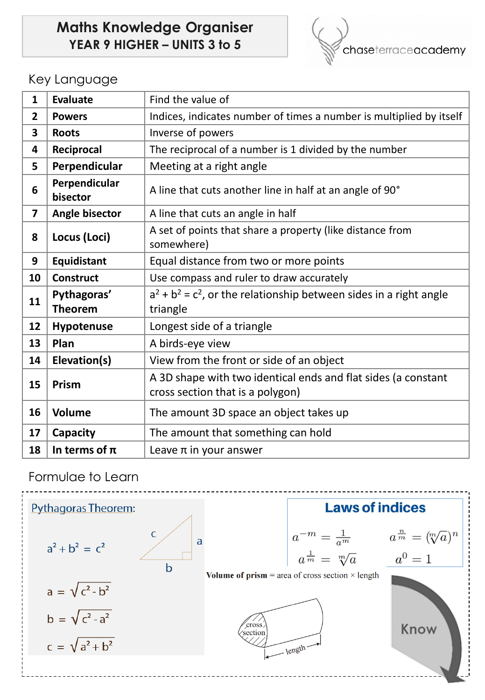## **Maths Knowledge Organiser YEAR 9 HIGHER – UNITS 3 to 5**



## Key Language

| $\mathbf{1}$            | <b>Evaluate</b>           | Find the value of                                                       |
|-------------------------|---------------------------|-------------------------------------------------------------------------|
| $\overline{2}$          | <b>Powers</b>             | Indices, indicates number of times a number is multiplied by itself     |
| $\overline{\mathbf{3}}$ | <b>Roots</b>              | Inverse of powers                                                       |
| 4                       | Reciprocal                | The reciprocal of a number is 1 divided by the number                   |
| 5                       | Perpendicular             | Meeting at a right angle                                                |
| 6                       | Perpendicular<br>bisector | A line that cuts another line in half at an angle of 90°                |
| $\overline{\mathbf{z}}$ | Angle bisector            | A line that cuts an angle in half                                       |
| 8                       | Locus (Loci)              | A set of points that share a property (like distance from<br>somewhere) |
| 9                       | Equidistant               | Equal distance from two or more points                                  |
| 10                      | <b>Construct</b>          | Use compass and ruler to draw accurately                                |
| 11                      | Pythagoras'               | $a^2 + b^2 = c^2$ , or the relationship between sides in a right angle  |
|                         | <b>Theorem</b>            | triangle                                                                |
| 12                      | Hypotenuse                | Longest side of a triangle                                              |
| 13                      | Plan                      | A birds-eye view                                                        |
| 14                      | Elevation(s)              | View from the front or side of an object                                |
| 15                      | Prism                     | A 3D shape with two identical ends and flat sides (a constant           |
|                         |                           | cross section that is a polygon)                                        |
| 16                      | <b>Volume</b>             | The amount 3D space an object takes up                                  |
| 17                      | Capacity                  | The amount that something can hold                                      |
| 18                      | In terms of $\pi$         | Leave $\pi$ in your answer                                              |

Formulae to Learn

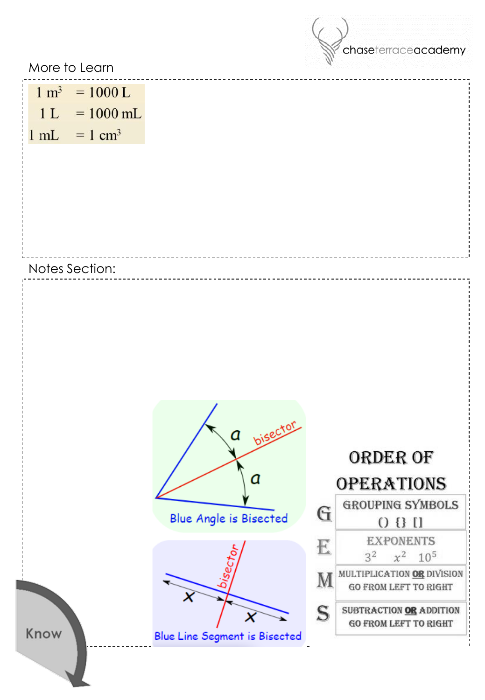